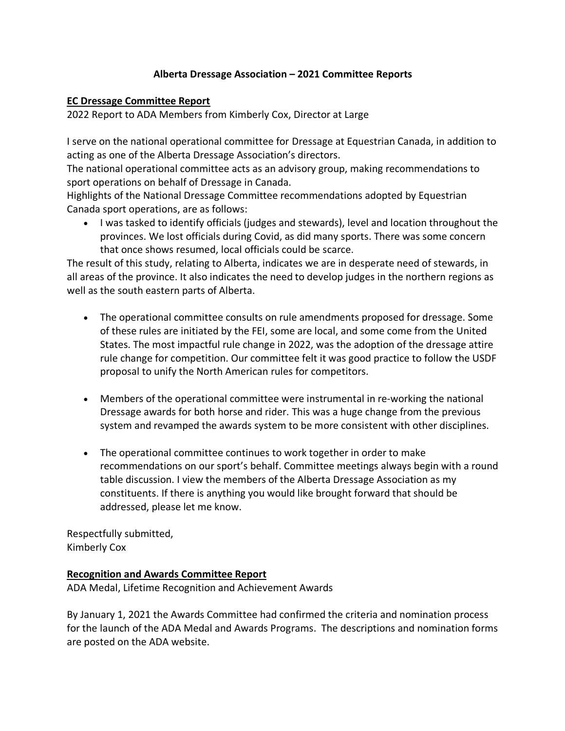### **Alberta Dressage Association – 2021 Committee Reports**

#### **EC Dressage Committee Report**

2022 Report to ADA Members from Kimberly Cox, Director at Large

I serve on the national operational committee for Dressage at Equestrian Canada, in addition to acting as one of the Alberta Dressage Association's directors.

The national operational committee acts as an advisory group, making recommendations to sport operations on behalf of Dressage in Canada.

Highlights of the National Dressage Committee recommendations adopted by Equestrian Canada sport operations, are as follows:

• I was tasked to identify officials (judges and stewards), level and location throughout the provinces. We lost officials during Covid, as did many sports. There was some concern that once shows resumed, local officials could be scarce.

The result of this study, relating to Alberta, indicates we are in desperate need of stewards, in all areas of the province. It also indicates the need to develop judges in the northern regions as well as the south eastern parts of Alberta.

- The operational committee consults on rule amendments proposed for dressage. Some of these rules are initiated by the FEI, some are local, and some come from the United States. The most impactful rule change in 2022, was the adoption of the dressage attire rule change for competition. Our committee felt it was good practice to follow the USDF proposal to unify the North American rules for competitors.
- Members of the operational committee were instrumental in re-working the national Dressage awards for both horse and rider. This was a huge change from the previous system and revamped the awards system to be more consistent with other disciplines.
- The operational committee continues to work together in order to make recommendations on our sport's behalf. Committee meetings always begin with a round table discussion. I view the members of the Alberta Dressage Association as my constituents. If there is anything you would like brought forward that should be addressed, please let me know.

Respectfully submitted, Kimberly Cox

### **Recognition and Awards Committee Report**

ADA Medal, Lifetime Recognition and Achievement Awards

By January 1, 2021 the Awards Committee had confirmed the criteria and nomination process for the launch of the ADA Medal and Awards Programs. The descriptions and nomination forms are posted on the ADA website.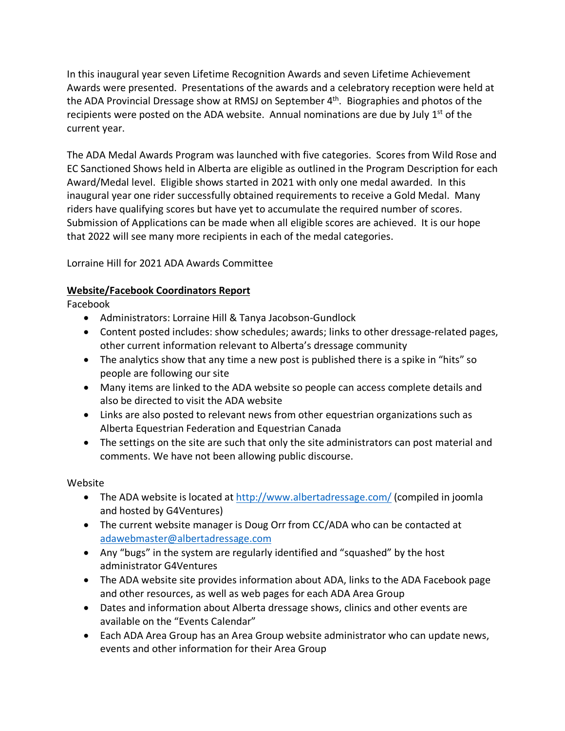In this inaugural year seven Lifetime Recognition Awards and seven Lifetime Achievement Awards were presented. Presentations of the awards and a celebratory reception were held at the ADA Provincial Dressage show at RMSJ on September 4<sup>th</sup>. Biographies and photos of the recipients were posted on the ADA website. Annual nominations are due by July  $1<sup>st</sup>$  of the current year.

The ADA Medal Awards Program was launched with five categories. Scores from Wild Rose and EC Sanctioned Shows held in Alberta are eligible as outlined in the Program Description for each Award/Medal level. Eligible shows started in 2021 with only one medal awarded. In this inaugural year one rider successfully obtained requirements to receive a Gold Medal. Many riders have qualifying scores but have yet to accumulate the required number of scores. Submission of Applications can be made when all eligible scores are achieved. It is our hope that 2022 will see many more recipients in each of the medal categories.

Lorraine Hill for 2021 ADA Awards Committee

# **Website/Facebook Coordinators Report**

Facebook

- Administrators: Lorraine Hill & Tanya Jacobson-Gundlock
- Content posted includes: show schedules; awards; links to other dressage-related pages, other current information relevant to Alberta's dressage community
- The analytics show that any time a new post is published there is a spike in "hits" so people are following our site
- Many items are linked to the ADA website so people can access complete details and also be directed to visit the ADA website
- Links are also posted to relevant news from other equestrian organizations such as Alberta Equestrian Federation and Equestrian Canada
- The settings on the site are such that only the site administrators can post material and comments. We have not been allowing public discourse.

# Website

- The ADA website is located at http://www.albertadressage.com/ [\(compiled in joomla](http://www.albertadressage.com/) [and hosted](http://www.albertadressage.com/) by G4Ventures)
- The current website manager is Doug Orr from CC/ADA who can be contacted at adawebmaster@albertadressage.com
- Any ["bugs" in the system are re](mailto:adawebmaster@albertadressage.com)gularly identified and "squashed" by the host administrator G4Ventures
- The ADA website site provides information about ADA, links to the ADA Facebook page and other resources, as well as web pages for each ADA Area Group
- Dates and information about Alberta dressage shows, clinics and other events are available on the "Events Calendar"
- Each ADA Area Group has an Area Group website administrator who can update news, events and other information for their Area Group